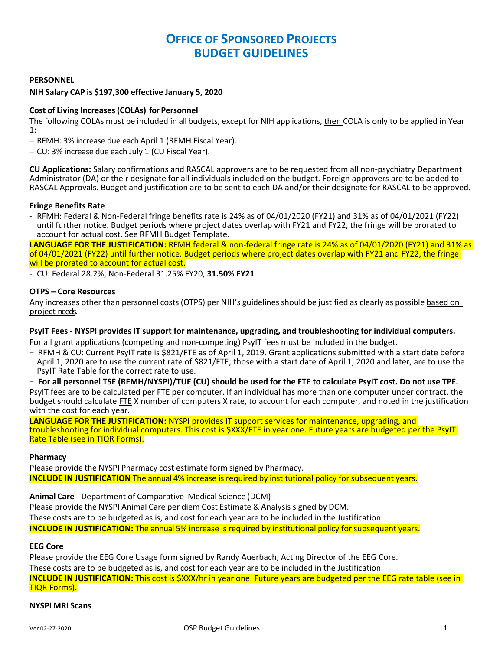# **OFFICE OF SPONSORED PROJECTS BUDGET GUIDELINES**

## **PERSONNEL**

### **NIH Salary CAP is \$197,300 effective January 5, 2020**

## **Cost of Living Increases(COLAs) for Personnel**

The following COLAs must be included in all budgets, except for NIH applications, then COLA is only to be applied in Year 1:

- RFMH: 3% increase due each April 1 (RFMH Fiscal Year).

CU: 3% increase due each July 1 (CU Fiscal Year).

**CU Applications:** Salary confirmations and RASCAL approvers are to be requested from all non‐psychiatry Department Administrator (DA) or their designate for all individuals included on the budget. Foreign approvers are to be added to RASCAL Approvals. Budget and justification are to be sent to each DA and/or their designate for RASCAL to be approved.

#### **Fringe Benefits Rate**

‐ RFMH: Federal & Non‐Federal fringe benefits rate is 24% as of 04/01/2020 (FY21) and 31% as of 04/01/2021 (FY22) until further notice. Budget periods where project dates overlap with FY21 and FY22, the fringe will be prorated to account for actual cost. See RFMH Budget Template.

**LANGUAGE FOR THE JUSTIFICATION:** RFMH federal & non‐federal fringe rate is 24% as of 04/01/2020 (FY21) and 31% as of 04/01/2021 (FY22) until further notice. Budget periods where project dates overlap with FY21 and FY22, the fringe will be prorated to account for actual cost.

‐ CU: Federal 28.2%; Non‐Federal 31.25% FY20, **31.50% FY21**

#### **OTPS – Core Resources**

Any increases other than personnel costs (OTPS) per NIH's guidelines should be justified as clearly as possible based on project needs.

## **PsyIT Fees ‐ NYSPI provides IT support for maintenance, upgrading, and troubleshooting for individual computers.**

For all grant applications (competing and non‐competing) PsyIT fees must be included in the budget.

− RFMH & CU: Current PsyIT rate is \$821/FTE as of April 1, 2019. Grant applications submitted with a start date before April 1, 2020 are to use the current rate of \$821/FTE; those with a start date of April 1, 2020 and later, are to use the PsyIT Rate Table for the correct rate to use.

- For all personnel TSE (RFMH/NYSPI)/TUE (CU) should be used for the FTE to calculate PsyIT cost. Do not use TPE.

PsyIT fees are to be calculated per FTE per computer. If an individual has more than one computer under contract, the budget should calculate FTE X number of computers X rate, to account for each computer, and noted in the justification with the cost for each year.

**LANGUAGE FOR THE JUSTIFICATION:** NYSPI provides IT support services for maintenance, upgrading, and troubleshooting for individual computers. This cost is \$XXX/FTE in year one. Future years are budgeted per the PsyIT Rate Table (see in TIQR Forms).

#### **Pharmacy**

Please provide the NYSPI Pharmacy cost estimate form signed by Pharmacy. **INCLUDE IN JUSTIFICATION** The annual 4% increase is required by institutional policy for subsequent years.

**Animal Care** ‐ Department of Comparative Medical Science (DCM)

Please provide the NYSPI Animal Care per diem Cost Estimate & Analysis signed by DCM.

These costs are to be budgeted as is, and cost for each year are to be included in the Justification.

**INCLUDE IN JUSTIFICATION:** The annual 5% increase is required by institutional policy for subsequent years.

#### **EEG Core**

Please provide the EEG Core Usage form signed by Randy Auerbach, Acting Director of the EEG Core. These costs are to be budgeted as is, and cost for each year are to be included in the Justification.

**INCLUDE IN JUSTIFICATION:** This cost is \$XXX/hr in year one. Future years are budgeted per the EEG rate table (see in TIQR Forms).

#### **NYSPI MRI Scans**